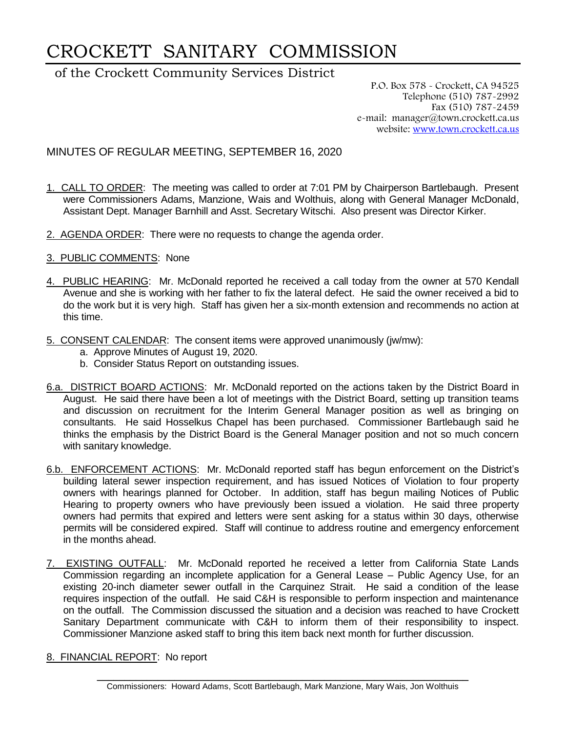## CROCKETT SANITARY COMMISSION

of the Crockett Community Services District

P.O. Box 578 - Crockett, CA 94525 Telephone (510) 787-2992 Fax (510) 787-2459 e-mail: manager@town.crockett.ca.us website: [www.town.crockett.ca.us](http://www.town.crockett.ca.us/)

MINUTES OF REGULAR MEETING, SEPTEMBER 16, 2020

- 1. CALL TO ORDER: The meeting was called to order at 7:01 PM by Chairperson Bartlebaugh. Present were Commissioners Adams, Manzione, Wais and Wolthuis, along with General Manager McDonald, Assistant Dept. Manager Barnhill and Asst. Secretary Witschi. Also present was Director Kirker.
- 2. AGENDA ORDER: There were no requests to change the agenda order.
- 3. PUBLIC COMMENTS: None
- 4. PUBLIC HEARING: Mr. McDonald reported he received a call today from the owner at 570 Kendall Avenue and she is working with her father to fix the lateral defect. He said the owner received a bid to do the work but it is very high. Staff has given her a six-month extension and recommends no action at this time.
- 5. CONSENT CALENDAR: The consent items were approved unanimously (jw/mw):
	- a. Approve Minutes of August 19, 2020.
	- b. Consider Status Report on outstanding issues.
- 6.a. DISTRICT BOARD ACTIONS: Mr. McDonald reported on the actions taken by the District Board in August. He said there have been a lot of meetings with the District Board, setting up transition teams and discussion on recruitment for the Interim General Manager position as well as bringing on consultants. He said Hosselkus Chapel has been purchased. Commissioner Bartlebaugh said he thinks the emphasis by the District Board is the General Manager position and not so much concern with sanitary knowledge.
- 6.b. ENFORCEMENT ACTIONS: Mr. McDonald reported staff has begun enforcement on the District's building lateral sewer inspection requirement, and has issued Notices of Violation to four property owners with hearings planned for October. In addition, staff has begun mailing Notices of Public Hearing to property owners who have previously been issued a violation. He said three property owners had permits that expired and letters were sent asking for a status within 30 days, otherwise permits will be considered expired. Staff will continue to address routine and emergency enforcement in the months ahead.
- 7. EXISTING OUTFALL: Mr. McDonald reported he received a letter from California State Lands Commission regarding an incomplete application for a General Lease – Public Agency Use, for an existing 20-inch diameter sewer outfall in the Carquinez Strait. He said a condition of the lease requires inspection of the outfall. He said C&H is responsible to perform inspection and maintenance on the outfall. The Commission discussed the situation and a decision was reached to have Crockett Sanitary Department communicate with C&H to inform them of their responsibility to inspect. Commissioner Manzione asked staff to bring this item back next month for further discussion.
- 8. FINANCIAL REPORT: No report